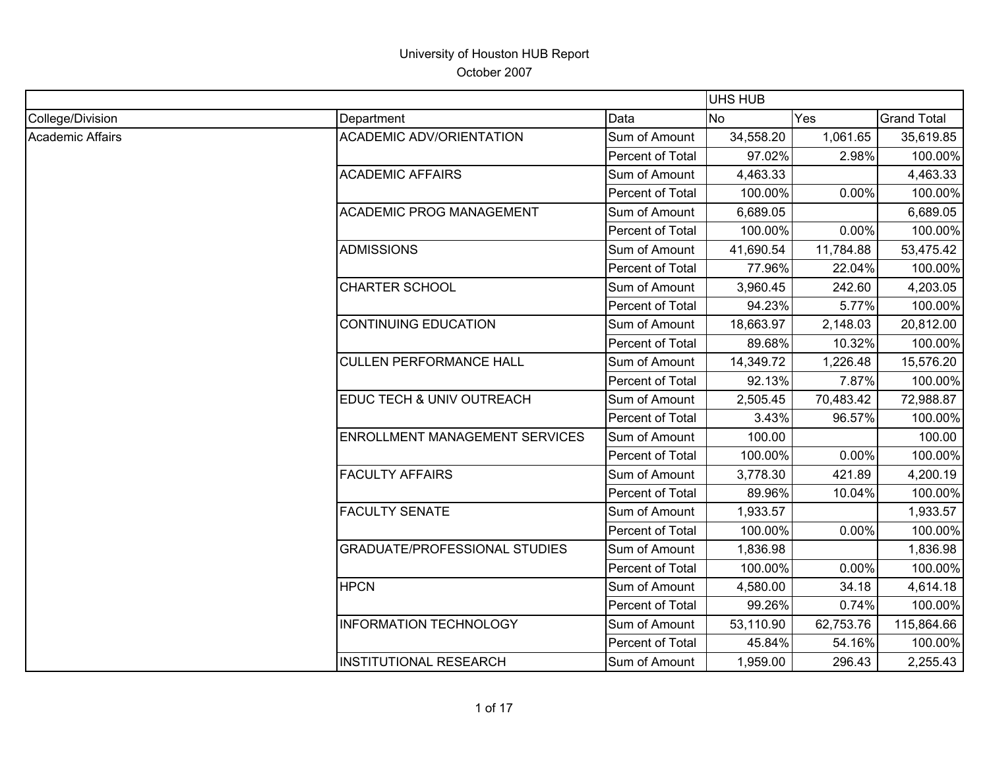|                  |                                       |                  | <b>UHS HUB</b> |           |                    |
|------------------|---------------------------------------|------------------|----------------|-----------|--------------------|
| College/Division | Department                            | Data             | <b>No</b>      | Yes       | <b>Grand Total</b> |
| Academic Affairs | <b>ACADEMIC ADV/ORIENTATION</b>       | Sum of Amount    | 34,558.20      | 1,061.65  | 35,619.85          |
|                  |                                       | Percent of Total | 97.02%         | 2.98%     | 100.00%            |
|                  | <b>ACADEMIC AFFAIRS</b>               | Sum of Amount    | 4,463.33       |           | 4,463.33           |
|                  |                                       | Percent of Total | 100.00%        | 0.00%     | 100.00%            |
|                  | <b>ACADEMIC PROG MANAGEMENT</b>       | Sum of Amount    | 6,689.05       |           | 6,689.05           |
|                  |                                       | Percent of Total | 100.00%        | 0.00%     | 100.00%            |
|                  | <b>ADMISSIONS</b>                     | Sum of Amount    | 41,690.54      | 11,784.88 | 53,475.42          |
|                  |                                       | Percent of Total | 77.96%         | 22.04%    | 100.00%            |
|                  | <b>CHARTER SCHOOL</b>                 | Sum of Amount    | 3,960.45       | 242.60    | 4,203.05           |
|                  |                                       | Percent of Total | 94.23%         | 5.77%     | 100.00%            |
|                  | <b>CONTINUING EDUCATION</b>           | Sum of Amount    | 18,663.97      | 2,148.03  | 20,812.00          |
|                  |                                       | Percent of Total | 89.68%         | 10.32%    | 100.00%            |
|                  | <b>CULLEN PERFORMANCE HALL</b>        | Sum of Amount    | 14,349.72      | 1,226.48  | 15,576.20          |
|                  |                                       | Percent of Total | 92.13%         | 7.87%     | 100.00%            |
|                  | EDUC TECH & UNIV OUTREACH             | Sum of Amount    | 2,505.45       | 70,483.42 | 72,988.87          |
|                  |                                       | Percent of Total | 3.43%          | 96.57%    | 100.00%            |
|                  | <b>ENROLLMENT MANAGEMENT SERVICES</b> | Sum of Amount    | 100.00         |           | 100.00             |
|                  |                                       | Percent of Total | 100.00%        | 0.00%     | 100.00%            |
|                  | <b>FACULTY AFFAIRS</b>                | Sum of Amount    | 3,778.30       | 421.89    | 4,200.19           |
|                  |                                       | Percent of Total | 89.96%         | 10.04%    | 100.00%            |
|                  | <b>FACULTY SENATE</b>                 | Sum of Amount    | 1,933.57       |           | 1,933.57           |
|                  |                                       | Percent of Total | 100.00%        | 0.00%     | 100.00%            |
|                  | <b>GRADUATE/PROFESSIONAL STUDIES</b>  | Sum of Amount    | 1,836.98       |           | 1,836.98           |
|                  |                                       | Percent of Total | 100.00%        | 0.00%     | 100.00%            |
|                  | <b>HPCN</b>                           | Sum of Amount    | 4,580.00       | 34.18     | 4,614.18           |
|                  |                                       | Percent of Total | 99.26%         | 0.74%     | 100.00%            |
|                  | <b>INFORMATION TECHNOLOGY</b>         | Sum of Amount    | 53,110.90      | 62,753.76 | 115,864.66         |
|                  |                                       | Percent of Total | 45.84%         | 54.16%    | 100.00%            |
|                  | <b>INSTITUTIONAL RESEARCH</b>         | Sum of Amount    | 1,959.00       | 296.43    | 2,255.43           |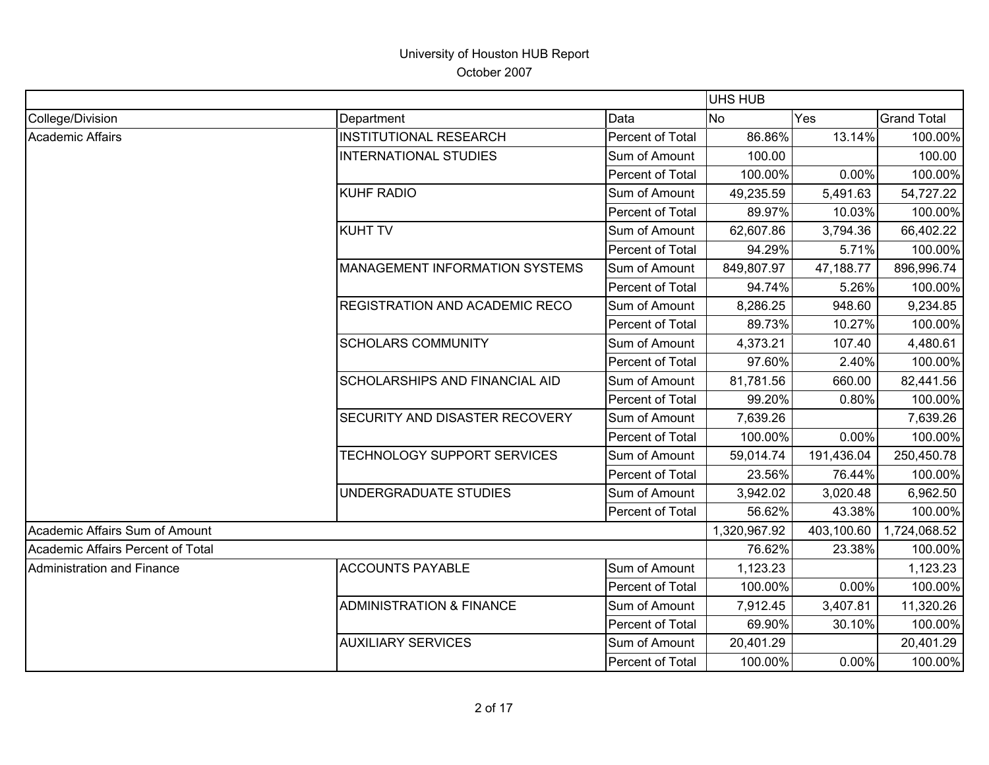|                                   |                                       |                  | UHS HUB      |            |                    |
|-----------------------------------|---------------------------------------|------------------|--------------|------------|--------------------|
| College/Division                  | Department                            | Data             | <b>No</b>    | Yes        | <b>Grand Total</b> |
| Academic Affairs                  | <b>INSTITUTIONAL RESEARCH</b>         | Percent of Total | 86.86%       | 13.14%     | 100.00%            |
|                                   | <b>INTERNATIONAL STUDIES</b>          | Sum of Amount    | 100.00       |            | 100.00             |
|                                   |                                       | Percent of Total | 100.00%      | 0.00%      | 100.00%            |
|                                   | <b>KUHF RADIO</b>                     | Sum of Amount    | 49,235.59    | 5,491.63   | 54,727.22          |
|                                   |                                       | Percent of Total | 89.97%       | 10.03%     | 100.00%            |
|                                   | <b>KUHT TV</b>                        | Sum of Amount    | 62,607.86    | 3,794.36   | 66,402.22          |
|                                   |                                       | Percent of Total | 94.29%       | 5.71%      | 100.00%            |
|                                   | MANAGEMENT INFORMATION SYSTEMS        | Sum of Amount    | 849,807.97   | 47,188.77  | 896,996.74         |
|                                   |                                       | Percent of Total | 94.74%       | 5.26%      | 100.00%            |
|                                   | <b>REGISTRATION AND ACADEMIC RECO</b> | Sum of Amount    | 8,286.25     | 948.60     | 9,234.85           |
|                                   |                                       | Percent of Total | 89.73%       | 10.27%     | 100.00%            |
|                                   | <b>SCHOLARS COMMUNITY</b>             | Sum of Amount    | 4,373.21     | 107.40     | 4,480.61           |
|                                   |                                       | Percent of Total | 97.60%       | 2.40%      | 100.00%            |
|                                   | SCHOLARSHIPS AND FINANCIAL AID        | Sum of Amount    | 81,781.56    | 660.00     | 82,441.56          |
|                                   |                                       | Percent of Total | 99.20%       | 0.80%      | 100.00%            |
|                                   | SECURITY AND DISASTER RECOVERY        | Sum of Amount    | 7,639.26     |            | 7,639.26           |
|                                   |                                       | Percent of Total | 100.00%      | 0.00%      | 100.00%            |
|                                   | <b>TECHNOLOGY SUPPORT SERVICES</b>    | Sum of Amount    | 59,014.74    | 191,436.04 | 250,450.78         |
|                                   |                                       | Percent of Total | 23.56%       | 76.44%     | 100.00%            |
|                                   | UNDERGRADUATE STUDIES                 | Sum of Amount    | 3,942.02     | 3,020.48   | 6,962.50           |
|                                   |                                       | Percent of Total | 56.62%       | 43.38%     | 100.00%            |
| Academic Affairs Sum of Amount    |                                       |                  | 1,320,967.92 | 403,100.60 | 1,724,068.52       |
| Academic Affairs Percent of Total |                                       |                  | 76.62%       | 23.38%     | 100.00%            |
| Administration and Finance        | <b>ACCOUNTS PAYABLE</b>               | Sum of Amount    | 1,123.23     |            | 1,123.23           |
|                                   |                                       | Percent of Total | 100.00%      | 0.00%      | 100.00%            |
|                                   | <b>ADMINISTRATION &amp; FINANCE</b>   | Sum of Amount    | 7,912.45     | 3,407.81   | 11,320.26          |
|                                   |                                       | Percent of Total | 69.90%       | 30.10%     | 100.00%            |
|                                   | <b>AUXILIARY SERVICES</b>             | Sum of Amount    | 20,401.29    |            | 20,401.29          |
|                                   |                                       | Percent of Total | 100.00%      | 0.00%      | 100.00%            |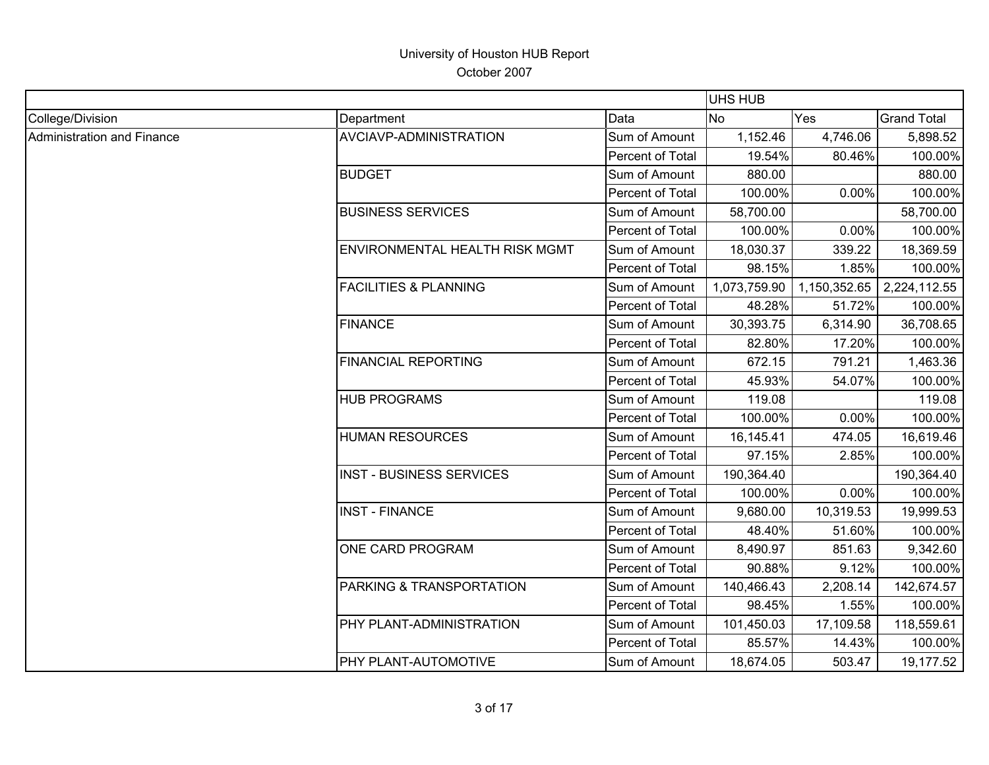|                            |                                  |                  | <b>UHS HUB</b> |              |                    |
|----------------------------|----------------------------------|------------------|----------------|--------------|--------------------|
| College/Division           | Department                       | Data             | <b>No</b>      | Yes          | <b>Grand Total</b> |
| Administration and Finance | <b>AVCIAVP-ADMINISTRATION</b>    | Sum of Amount    | 1,152.46       | 4,746.06     | 5,898.52           |
|                            |                                  | Percent of Total | 19.54%         | 80.46%       | 100.00%            |
|                            | <b>BUDGET</b>                    | Sum of Amount    | 880.00         |              | 880.00             |
|                            |                                  | Percent of Total | 100.00%        | 0.00%        | 100.00%            |
|                            | <b>BUSINESS SERVICES</b>         | Sum of Amount    | 58,700.00      |              | 58,700.00          |
|                            |                                  | Percent of Total | 100.00%        | 0.00%        | 100.00%            |
|                            | ENVIRONMENTAL HEALTH RISK MGMT   | Sum of Amount    | 18,030.37      | 339.22       | 18,369.59          |
|                            |                                  | Percent of Total | 98.15%         | 1.85%        | 100.00%            |
|                            | <b>FACILITIES &amp; PLANNING</b> | Sum of Amount    | 1,073,759.90   | 1,150,352.65 | 2,224,112.55       |
|                            |                                  | Percent of Total | 48.28%         | 51.72%       | 100.00%            |
|                            | <b>FINANCE</b>                   | Sum of Amount    | 30,393.75      | 6,314.90     | 36,708.65          |
|                            |                                  | Percent of Total | 82.80%         | 17.20%       | 100.00%            |
|                            | <b>FINANCIAL REPORTING</b>       | Sum of Amount    | 672.15         | 791.21       | 1,463.36           |
|                            |                                  | Percent of Total | 45.93%         | 54.07%       | 100.00%            |
|                            | <b>HUB PROGRAMS</b>              | Sum of Amount    | 119.08         |              | 119.08             |
|                            |                                  | Percent of Total | 100.00%        | 0.00%        | 100.00%            |
|                            | <b>HUMAN RESOURCES</b>           | Sum of Amount    | 16,145.41      | 474.05       | 16,619.46          |
|                            |                                  | Percent of Total | 97.15%         | 2.85%        | 100.00%            |
|                            | <b>INST - BUSINESS SERVICES</b>  | Sum of Amount    | 190,364.40     |              | 190,364.40         |
|                            |                                  | Percent of Total | 100.00%        | 0.00%        | 100.00%            |
|                            | <b>INST - FINANCE</b>            | Sum of Amount    | 9,680.00       | 10,319.53    | 19,999.53          |
|                            |                                  | Percent of Total | 48.40%         | 51.60%       | 100.00%            |
|                            | ONE CARD PROGRAM                 | Sum of Amount    | 8,490.97       | 851.63       | 9,342.60           |
|                            |                                  | Percent of Total | 90.88%         | 9.12%        | 100.00%            |
|                            | PARKING & TRANSPORTATION         | Sum of Amount    | 140,466.43     | 2,208.14     | 142,674.57         |
|                            |                                  | Percent of Total | 98.45%         | 1.55%        | 100.00%            |
|                            | PHY PLANT-ADMINISTRATION         | Sum of Amount    | 101,450.03     | 17,109.58    | 118,559.61         |
|                            |                                  | Percent of Total | 85.57%         | 14.43%       | 100.00%            |
|                            | PHY PLANT-AUTOMOTIVE             | Sum of Amount    | 18,674.05      | 503.47       | 19,177.52          |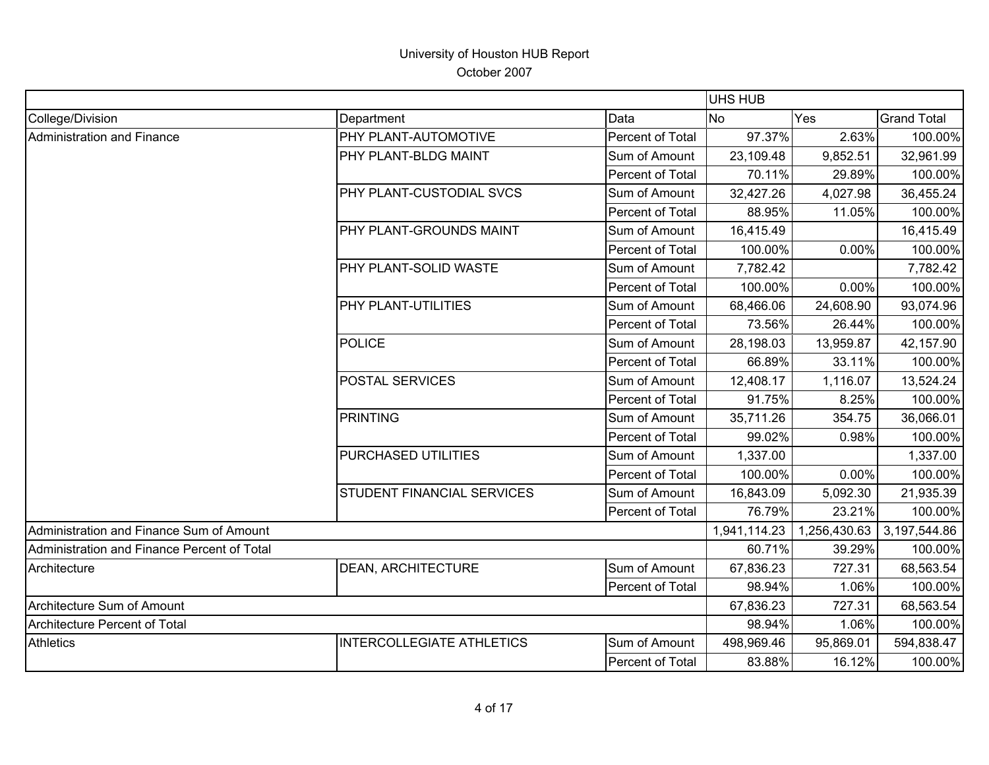|                                             |                            |                  | <b>UHS HUB</b> |              |                    |
|---------------------------------------------|----------------------------|------------------|----------------|--------------|--------------------|
| College/Division                            | Department                 | Data             | <b>No</b>      | Yes          | <b>Grand Total</b> |
| <b>Administration and Finance</b>           | PHY PLANT-AUTOMOTIVE       | Percent of Total | 97.37%         | 2.63%        | 100.00%            |
|                                             | PHY PLANT-BLDG MAINT       | Sum of Amount    | 23,109.48      | 9,852.51     | 32,961.99          |
|                                             |                            | Percent of Total | 70.11%         | 29.89%       | 100.00%            |
|                                             | PHY PLANT-CUSTODIAL SVCS   | Sum of Amount    | 32,427.26      | 4,027.98     | 36,455.24          |
|                                             |                            | Percent of Total | 88.95%         | 11.05%       | 100.00%            |
|                                             | PHY PLANT-GROUNDS MAINT    | Sum of Amount    | 16,415.49      |              | 16,415.49          |
|                                             |                            | Percent of Total | 100.00%        | 0.00%        | 100.00%            |
|                                             | PHY PLANT-SOLID WASTE      | Sum of Amount    | 7,782.42       |              | 7,782.42           |
|                                             |                            | Percent of Total | 100.00%        | 0.00%        | 100.00%            |
|                                             | PHY PLANT-UTILITIES        | Sum of Amount    | 68,466.06      | 24,608.90    | 93,074.96          |
|                                             |                            | Percent of Total | 73.56%         | 26.44%       | 100.00%            |
|                                             | <b>POLICE</b>              | Sum of Amount    | 28,198.03      | 13,959.87    | 42,157.90          |
|                                             |                            | Percent of Total | 66.89%         | 33.11%       | 100.00%            |
|                                             | <b>POSTAL SERVICES</b>     | Sum of Amount    | 12,408.17      | 1,116.07     | 13,524.24          |
|                                             |                            | Percent of Total | 91.75%         | 8.25%        | 100.00%            |
|                                             | <b>PRINTING</b>            | Sum of Amount    | 35,711.26      | 354.75       | 36,066.01          |
|                                             |                            | Percent of Total | 99.02%         | 0.98%        | 100.00%            |
|                                             | PURCHASED UTILITIES        | Sum of Amount    | 1,337.00       |              | 1,337.00           |
|                                             |                            | Percent of Total | 100.00%        | 0.00%        | 100.00%            |
|                                             | STUDENT FINANCIAL SERVICES | Sum of Amount    | 16,843.09      | 5,092.30     | 21,935.39          |
|                                             |                            | Percent of Total | 76.79%         | 23.21%       | 100.00%            |
| Administration and Finance Sum of Amount    |                            |                  | 1,941,114.23   | 1,256,430.63 | 3,197,544.86       |
| Administration and Finance Percent of Total |                            |                  | 60.71%         | 39.29%       | 100.00%            |
| Architecture                                | DEAN, ARCHITECTURE         | Sum of Amount    | 67,836.23      | 727.31       | 68,563.54          |
|                                             |                            | Percent of Total | 98.94%         | 1.06%        | 100.00%            |
| Architecture Sum of Amount                  |                            | 67,836.23        | 727.31         | 68,563.54    |                    |
| Architecture Percent of Total               |                            |                  | 98.94%         | 1.06%        | 100.00%            |
| <b>Athletics</b>                            | INTERCOLLEGIATE ATHLETICS  | Sum of Amount    | 498,969.46     | 95,869.01    | 594,838.47         |
|                                             |                            | Percent of Total | 83.88%         | 16.12%       | 100.00%            |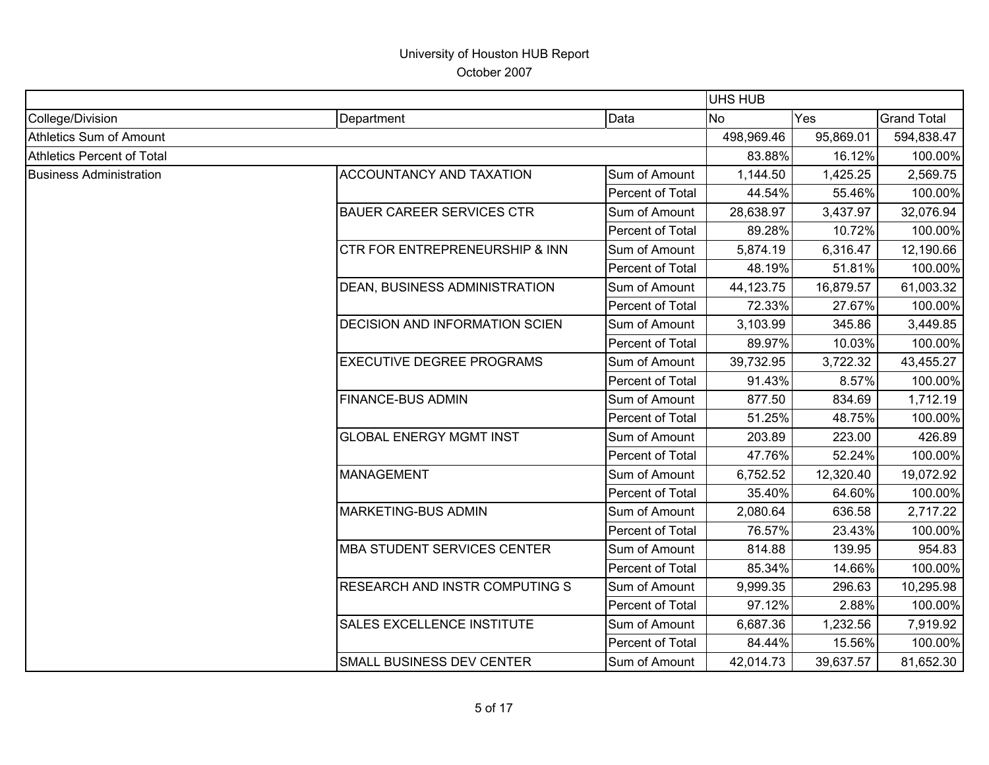|                                |                                       |                  | <b>UHS HUB</b> |           |                    |
|--------------------------------|---------------------------------------|------------------|----------------|-----------|--------------------|
| College/Division               | Department                            | Data             | <b>No</b>      | Yes       | <b>Grand Total</b> |
| <b>Athletics Sum of Amount</b> |                                       |                  | 498,969.46     | 95,869.01 | 594,838.47         |
| Athletics Percent of Total     |                                       |                  | 83.88%         | 16.12%    | 100.00%            |
| <b>Business Administration</b> | <b>ACCOUNTANCY AND TAXATION</b>       | Sum of Amount    | 1,144.50       | 1,425.25  | 2,569.75           |
|                                |                                       | Percent of Total | 44.54%         | 55.46%    | 100.00%            |
|                                | <b>BAUER CAREER SERVICES CTR</b>      | Sum of Amount    | 28,638.97      | 3,437.97  | 32,076.94          |
|                                |                                       | Percent of Total | 89.28%         | 10.72%    | 100.00%            |
|                                | CTR FOR ENTREPRENEURSHIP & INN        | Sum of Amount    | 5,874.19       | 6,316.47  | 12,190.66          |
|                                |                                       | Percent of Total | 48.19%         | 51.81%    | 100.00%            |
|                                | <b>DEAN, BUSINESS ADMINISTRATION</b>  | Sum of Amount    | 44,123.75      | 16,879.57 | 61,003.32          |
|                                |                                       | Percent of Total | 72.33%         | 27.67%    | 100.00%            |
|                                | <b>DECISION AND INFORMATION SCIEN</b> | Sum of Amount    | 3,103.99       | 345.86    | 3,449.85           |
|                                |                                       | Percent of Total | 89.97%         | 10.03%    | 100.00%            |
|                                | <b>EXECUTIVE DEGREE PROGRAMS</b>      | Sum of Amount    | 39,732.95      | 3,722.32  | 43,455.27          |
|                                |                                       | Percent of Total | 91.43%         | 8.57%     | 100.00%            |
|                                | <b>FINANCE-BUS ADMIN</b>              | Sum of Amount    | 877.50         | 834.69    | 1,712.19           |
|                                |                                       | Percent of Total | 51.25%         | 48.75%    | 100.00%            |
|                                | <b>GLOBAL ENERGY MGMT INST</b>        | Sum of Amount    | 203.89         | 223.00    | 426.89             |
|                                |                                       | Percent of Total | 47.76%         | 52.24%    | 100.00%            |
|                                | <b>MANAGEMENT</b>                     | Sum of Amount    | 6,752.52       | 12,320.40 | 19,072.92          |
|                                |                                       | Percent of Total | 35.40%         | 64.60%    | 100.00%            |
|                                | <b>MARKETING-BUS ADMIN</b>            | Sum of Amount    | 2,080.64       | 636.58    | 2,717.22           |
|                                |                                       | Percent of Total | 76.57%         | 23.43%    | 100.00%            |
|                                | <b>MBA STUDENT SERVICES CENTER</b>    | Sum of Amount    | 814.88         | 139.95    | 954.83             |
|                                |                                       | Percent of Total | 85.34%         | 14.66%    | 100.00%            |
|                                | <b>RESEARCH AND INSTR COMPUTING S</b> | Sum of Amount    | 9,999.35       | 296.63    | 10,295.98          |
|                                |                                       | Percent of Total | 97.12%         | 2.88%     | 100.00%            |
|                                | SALES EXCELLENCE INSTITUTE            | Sum of Amount    | 6,687.36       | 1,232.56  | 7,919.92           |
|                                |                                       | Percent of Total | 84.44%         | 15.56%    | 100.00%            |
|                                | SMALL BUSINESS DEV CENTER             | Sum of Amount    | 42,014.73      | 39,637.57 | 81,652.30          |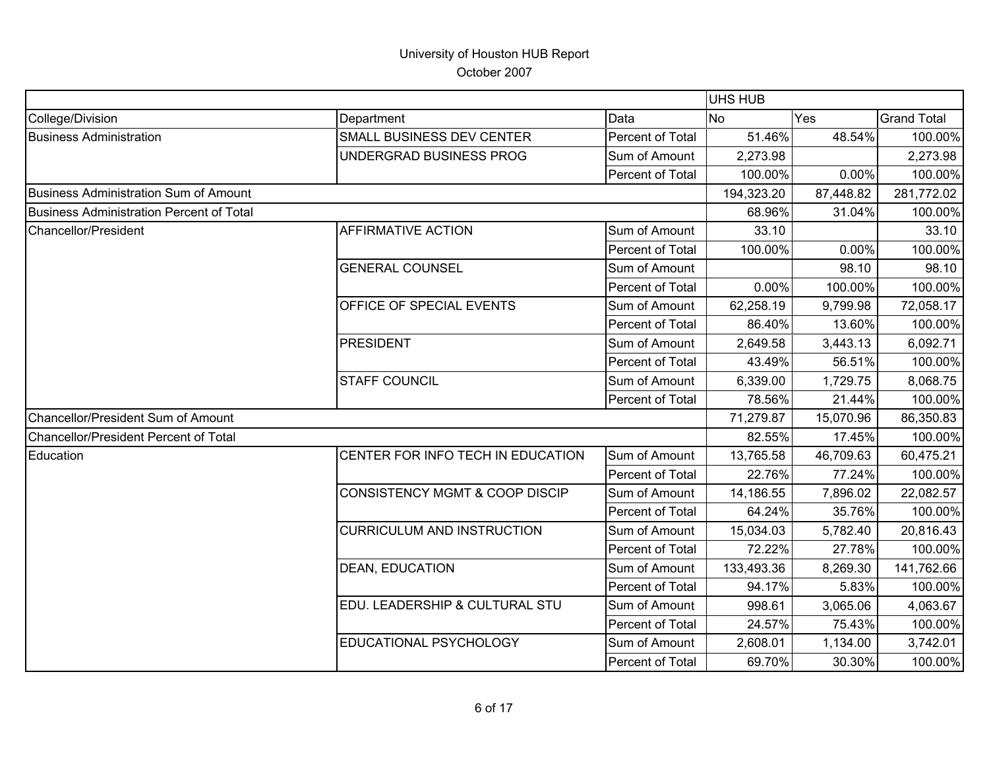|                                              |                                           |                  | <b>UHS HUB</b> |           |                    |
|----------------------------------------------|-------------------------------------------|------------------|----------------|-----------|--------------------|
| College/Division                             | Department                                | Data             | <b>No</b>      | Yes       | <b>Grand Total</b> |
| <b>Business Administration</b>               | SMALL BUSINESS DEV CENTER                 | Percent of Total | 51.46%         | 48.54%    | 100.00%            |
|                                              | UNDERGRAD BUSINESS PROG                   | Sum of Amount    | 2,273.98       |           | 2,273.98           |
|                                              |                                           | Percent of Total | 100.00%        | 0.00%     | 100.00%            |
| Business Administration Sum of Amount        |                                           |                  | 194,323.20     | 87,448.82 | 281,772.02         |
| Business Administration Percent of Total     |                                           |                  | 68.96%         | 31.04%    | 100.00%            |
| Chancellor/President                         | <b>AFFIRMATIVE ACTION</b>                 | Sum of Amount    | 33.10          |           | 33.10              |
|                                              |                                           | Percent of Total | 100.00%        | 0.00%     | 100.00%            |
|                                              | <b>GENERAL COUNSEL</b>                    | Sum of Amount    |                | 98.10     | 98.10              |
|                                              |                                           | Percent of Total | 0.00%          | 100.00%   | 100.00%            |
|                                              | OFFICE OF SPECIAL EVENTS                  | Sum of Amount    | 62,258.19      | 9,799.98  | 72,058.17          |
|                                              |                                           | Percent of Total | 86.40%         | 13.60%    | 100.00%            |
|                                              | <b>PRESIDENT</b>                          | Sum of Amount    | 2,649.58       | 3,443.13  | 6,092.71           |
|                                              |                                           | Percent of Total | 43.49%         | 56.51%    | 100.00%            |
|                                              | <b>STAFF COUNCIL</b>                      | Sum of Amount    | 6,339.00       | 1,729.75  | 8,068.75           |
|                                              |                                           | Percent of Total | 78.56%         | 21.44%    | 100.00%            |
| Chancellor/President Sum of Amount           |                                           |                  | 71,279.87      | 15,070.96 | 86,350.83          |
| <b>Chancellor/President Percent of Total</b> |                                           |                  | 82.55%         | 17.45%    | 100.00%            |
| Education                                    | CENTER FOR INFO TECH IN EDUCATION         | Sum of Amount    | 13,765.58      | 46,709.63 | 60,475.21          |
|                                              |                                           | Percent of Total | 22.76%         | 77.24%    | 100.00%            |
|                                              | <b>CONSISTENCY MGMT &amp; COOP DISCIP</b> | Sum of Amount    | 14,186.55      | 7,896.02  | 22,082.57          |
|                                              |                                           | Percent of Total | 64.24%         | 35.76%    | 100.00%            |
|                                              | <b>CURRICULUM AND INSTRUCTION</b>         | Sum of Amount    | 15,034.03      | 5,782.40  | 20,816.43          |
|                                              |                                           | Percent of Total | 72.22%         | 27.78%    | 100.00%            |
|                                              | <b>DEAN, EDUCATION</b>                    | Sum of Amount    | 133,493.36     | 8,269.30  | 141,762.66         |
|                                              |                                           | Percent of Total | 94.17%         | 5.83%     | 100.00%            |
|                                              | EDU. LEADERSHIP & CULTURAL STU            | Sum of Amount    | 998.61         | 3,065.06  | 4,063.67           |
|                                              |                                           | Percent of Total | 24.57%         | 75.43%    | 100.00%            |
|                                              | EDUCATIONAL PSYCHOLOGY                    | Sum of Amount    | 2,608.01       | 1,134.00  | 3,742.01           |
|                                              |                                           | Percent of Total | 69.70%         | 30.30%    | 100.00%            |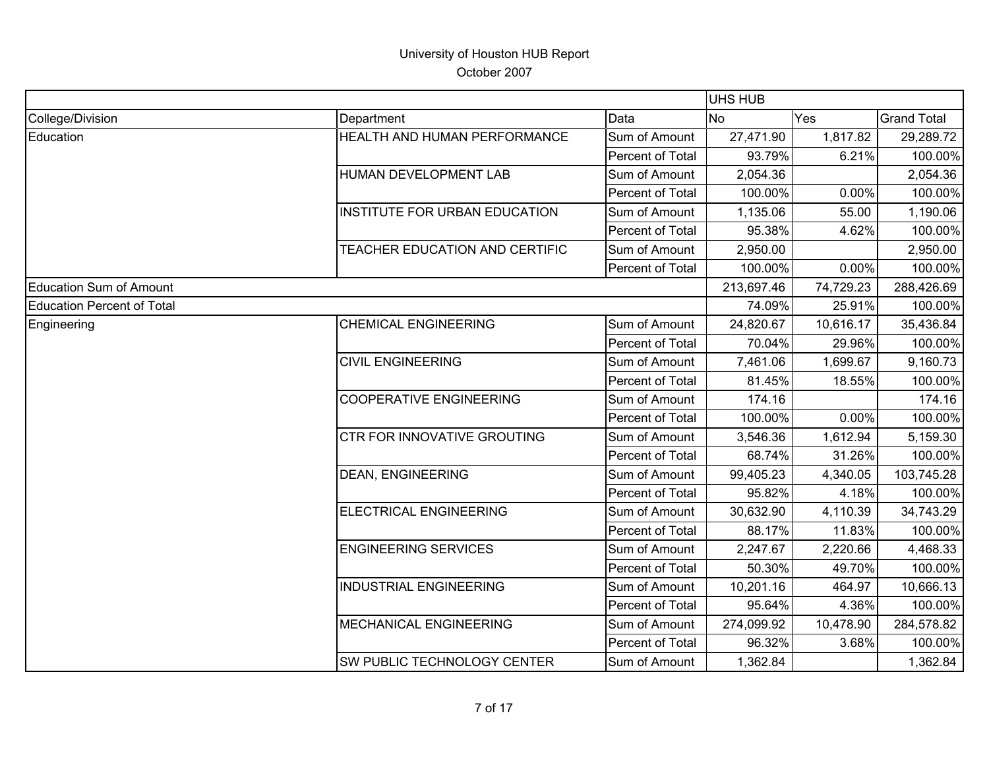|                                   |                                      |                  | <b>UHS HUB</b> |           |                    |
|-----------------------------------|--------------------------------------|------------------|----------------|-----------|--------------------|
| College/Division                  | Department                           | Data             | <b>No</b>      | Yes       | <b>Grand Total</b> |
| Education                         | HEALTH AND HUMAN PERFORMANCE         | Sum of Amount    | 27,471.90      | 1,817.82  | 29,289.72          |
|                                   |                                      | Percent of Total | 93.79%         | 6.21%     | 100.00%            |
|                                   | HUMAN DEVELOPMENT LAB                | Sum of Amount    | 2,054.36       |           | 2,054.36           |
|                                   |                                      | Percent of Total | 100.00%        | 0.00%     | 100.00%            |
|                                   | <b>INSTITUTE FOR URBAN EDUCATION</b> | Sum of Amount    | 1,135.06       | 55.00     | 1,190.06           |
|                                   |                                      | Percent of Total | 95.38%         | 4.62%     | 100.00%            |
|                                   | TEACHER EDUCATION AND CERTIFIC       | Sum of Amount    | 2,950.00       |           | 2,950.00           |
|                                   |                                      | Percent of Total | 100.00%        | 0.00%     | 100.00%            |
| <b>Education Sum of Amount</b>    |                                      |                  | 213,697.46     | 74,729.23 | 288,426.69         |
| <b>Education Percent of Total</b> |                                      |                  | 74.09%         | 25.91%    | 100.00%            |
| Engineering                       | <b>CHEMICAL ENGINEERING</b>          | Sum of Amount    | 24,820.67      | 10,616.17 | 35,436.84          |
|                                   |                                      | Percent of Total | 70.04%         | 29.96%    | 100.00%            |
|                                   | <b>CIVIL ENGINEERING</b>             | Sum of Amount    | 7,461.06       | 1,699.67  | 9,160.73           |
|                                   |                                      | Percent of Total | 81.45%         | 18.55%    | 100.00%            |
|                                   | <b>COOPERATIVE ENGINEERING</b>       | Sum of Amount    | 174.16         |           | 174.16             |
|                                   |                                      | Percent of Total | 100.00%        | 0.00%     | 100.00%            |
|                                   | CTR FOR INNOVATIVE GROUTING          | Sum of Amount    | 3,546.36       | 1,612.94  | 5,159.30           |
|                                   |                                      | Percent of Total | 68.74%         | 31.26%    | 100.00%            |
|                                   | <b>DEAN, ENGINEERING</b>             | Sum of Amount    | 99,405.23      | 4,340.05  | 103,745.28         |
|                                   |                                      | Percent of Total | 95.82%         | 4.18%     | 100.00%            |
|                                   | ELECTRICAL ENGINEERING               | Sum of Amount    | 30,632.90      | 4,110.39  | 34,743.29          |
|                                   |                                      | Percent of Total | 88.17%         | 11.83%    | 100.00%            |
|                                   | <b>ENGINEERING SERVICES</b>          | Sum of Amount    | 2,247.67       | 2,220.66  | 4,468.33           |
|                                   |                                      | Percent of Total | 50.30%         | 49.70%    | 100.00%            |
|                                   | <b>INDUSTRIAL ENGINEERING</b>        | Sum of Amount    | 10,201.16      | 464.97    | 10,666.13          |
|                                   |                                      | Percent of Total | 95.64%         | 4.36%     | 100.00%            |
|                                   | MECHANICAL ENGINEERING               | Sum of Amount    | 274,099.92     | 10,478.90 | 284,578.82         |
|                                   |                                      | Percent of Total | 96.32%         | 3.68%     | 100.00%            |
|                                   | SW PUBLIC TECHNOLOGY CENTER          | Sum of Amount    | 1,362.84       |           | 1,362.84           |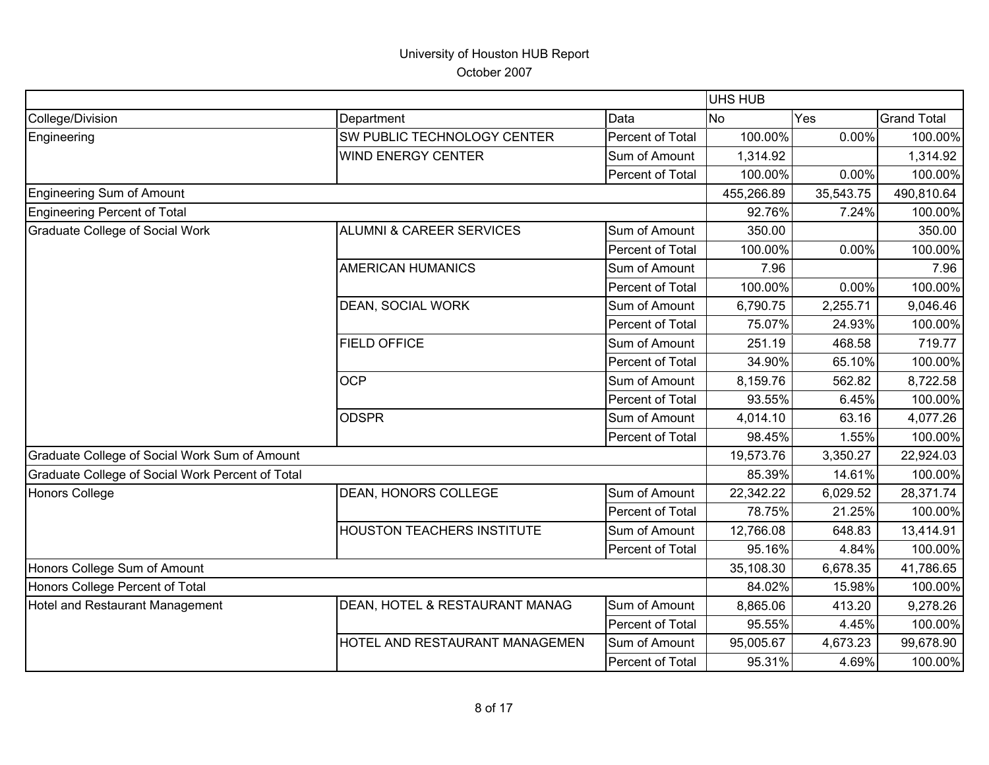|                                                  |                                     |                  | <b>UHS HUB</b> |           |                    |
|--------------------------------------------------|-------------------------------------|------------------|----------------|-----------|--------------------|
| College/Division                                 | Department                          | Data             | <b>No</b>      | Yes       | <b>Grand Total</b> |
| Engineering                                      | SW PUBLIC TECHNOLOGY CENTER         | Percent of Total | 100.00%        | 0.00%     | 100.00%            |
|                                                  | <b>WIND ENERGY CENTER</b>           | Sum of Amount    | 1,314.92       |           | 1,314.92           |
|                                                  |                                     | Percent of Total | 100.00%        | 0.00%     | 100.00%            |
| <b>Engineering Sum of Amount</b>                 |                                     |                  | 455,266.89     | 35,543.75 | 490,810.64         |
| <b>Engineering Percent of Total</b>              |                                     |                  | 92.76%         | 7.24%     | 100.00%            |
| <b>Graduate College of Social Work</b>           | <b>ALUMNI &amp; CAREER SERVICES</b> | Sum of Amount    | 350.00         |           | 350.00             |
|                                                  |                                     | Percent of Total | 100.00%        | 0.00%     | 100.00%            |
|                                                  | <b>AMERICAN HUMANICS</b>            | Sum of Amount    | 7.96           |           | 7.96               |
|                                                  |                                     | Percent of Total | 100.00%        | 0.00%     | 100.00%            |
|                                                  | DEAN, SOCIAL WORK                   | Sum of Amount    | 6,790.75       | 2,255.71  | 9,046.46           |
|                                                  |                                     | Percent of Total | 75.07%         | 24.93%    | 100.00%            |
|                                                  | <b>FIELD OFFICE</b>                 | Sum of Amount    | 251.19         | 468.58    | 719.77             |
|                                                  |                                     | Percent of Total | 34.90%         | 65.10%    | 100.00%            |
|                                                  | <b>OCP</b>                          | Sum of Amount    | 8,159.76       | 562.82    | 8,722.58           |
|                                                  |                                     | Percent of Total | 93.55%         | 6.45%     | 100.00%            |
|                                                  | <b>ODSPR</b>                        | Sum of Amount    | 4,014.10       | 63.16     | 4,077.26           |
|                                                  |                                     | Percent of Total | 98.45%         | 1.55%     | 100.00%            |
| Graduate College of Social Work Sum of Amount    |                                     |                  | 19,573.76      | 3,350.27  | 22,924.03          |
| Graduate College of Social Work Percent of Total |                                     |                  | 85.39%         | 14.61%    | 100.00%            |
| Honors College                                   | DEAN, HONORS COLLEGE                | Sum of Amount    | 22,342.22      | 6,029.52  | 28,371.74          |
|                                                  |                                     | Percent of Total | 78.75%         | 21.25%    | 100.00%            |
|                                                  | HOUSTON TEACHERS INSTITUTE          | Sum of Amount    | 12,766.08      | 648.83    | 13,414.91          |
|                                                  |                                     | Percent of Total | 95.16%         | 4.84%     | 100.00%            |
| Honors College Sum of Amount                     |                                     |                  | 35,108.30      | 6,678.35  | 41,786.65          |
| Honors College Percent of Total                  |                                     |                  | 84.02%         | 15.98%    | 100.00%            |
| Hotel and Restaurant Management                  | DEAN, HOTEL & RESTAURANT MANAG      | Sum of Amount    | 8,865.06       | 413.20    | 9,278.26           |
|                                                  |                                     | Percent of Total | 95.55%         | 4.45%     | 100.00%            |
|                                                  | HOTEL AND RESTAURANT MANAGEMEN      | Sum of Amount    | 95,005.67      | 4,673.23  | 99,678.90          |
|                                                  |                                     | Percent of Total | 95.31%         | 4.69%     | 100.00%            |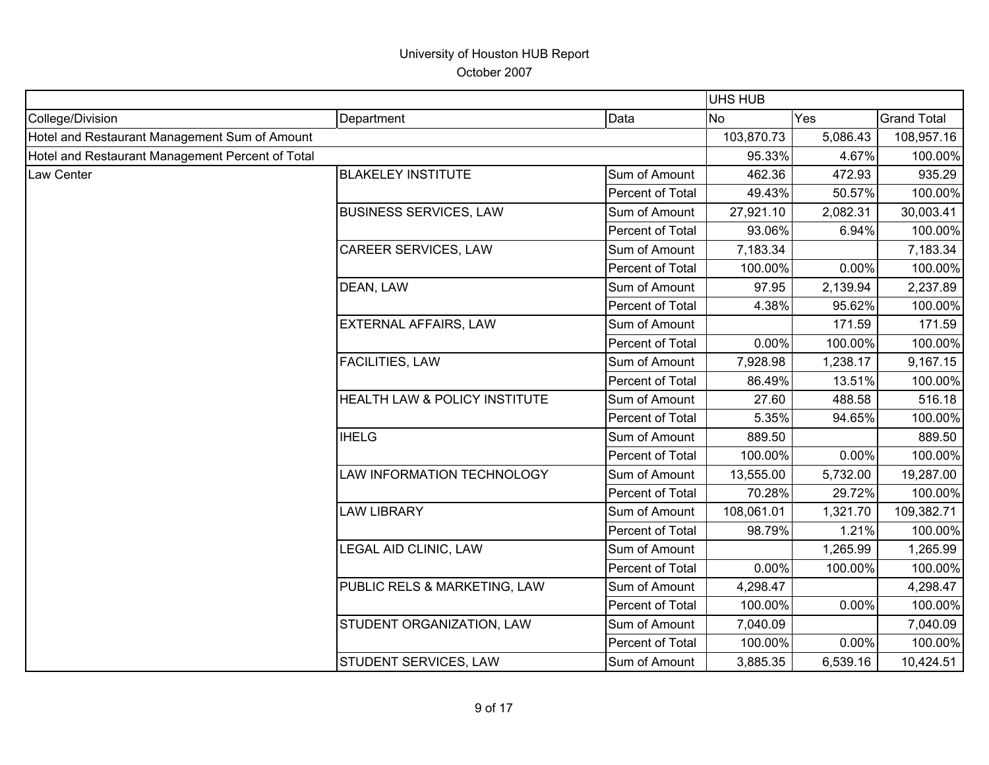|                                                  |                               |                  | <b>UHS HUB</b> |          |                    |
|--------------------------------------------------|-------------------------------|------------------|----------------|----------|--------------------|
| College/Division                                 | Department                    | Data             | <b>No</b>      | Yes      | <b>Grand Total</b> |
| Hotel and Restaurant Management Sum of Amount    |                               |                  | 103,870.73     | 5,086.43 | 108,957.16         |
| Hotel and Restaurant Management Percent of Total |                               |                  | 95.33%         | 4.67%    | 100.00%            |
| Law Center                                       | <b>BLAKELEY INSTITUTE</b>     | Sum of Amount    | 462.36         | 472.93   | 935.29             |
|                                                  |                               | Percent of Total | 49.43%         | 50.57%   | 100.00%            |
|                                                  | <b>BUSINESS SERVICES, LAW</b> | Sum of Amount    | 27,921.10      | 2,082.31 | 30,003.41          |
|                                                  |                               | Percent of Total | 93.06%         | 6.94%    | 100.00%            |
|                                                  | CAREER SERVICES, LAW          | Sum of Amount    | 7,183.34       |          | 7,183.34           |
|                                                  |                               | Percent of Total | 100.00%        | 0.00%    | 100.00%            |
|                                                  | DEAN, LAW                     | Sum of Amount    | 97.95          | 2,139.94 | 2,237.89           |
|                                                  |                               | Percent of Total | 4.38%          | 95.62%   | 100.00%            |
|                                                  | <b>EXTERNAL AFFAIRS, LAW</b>  | Sum of Amount    |                | 171.59   | 171.59             |
|                                                  |                               | Percent of Total | 0.00%          | 100.00%  | 100.00%            |
|                                                  | FACILITIES, LAW               | Sum of Amount    | 7,928.98       | 1,238.17 | 9,167.15           |
|                                                  |                               | Percent of Total | 86.49%         | 13.51%   | 100.00%            |
|                                                  | HEALTH LAW & POLICY INSTITUTE | Sum of Amount    | 27.60          | 488.58   | 516.18             |
|                                                  |                               | Percent of Total | 5.35%          | 94.65%   | 100.00%            |
|                                                  | <b>IHELG</b>                  | Sum of Amount    | 889.50         |          | 889.50             |
|                                                  |                               | Percent of Total | 100.00%        | 0.00%    | 100.00%            |
|                                                  | LAW INFORMATION TECHNOLOGY    | Sum of Amount    | 13,555.00      | 5,732.00 | 19,287.00          |
|                                                  |                               | Percent of Total | 70.28%         | 29.72%   | 100.00%            |
|                                                  | <b>LAW LIBRARY</b>            | Sum of Amount    | 108,061.01     | 1,321.70 | 109,382.71         |
|                                                  |                               | Percent of Total | 98.79%         | 1.21%    | 100.00%            |
|                                                  | LEGAL AID CLINIC, LAW         | Sum of Amount    |                | 1,265.99 | 1,265.99           |
|                                                  |                               | Percent of Total | 0.00%          | 100.00%  | 100.00%            |
|                                                  | PUBLIC RELS & MARKETING, LAW  | Sum of Amount    | 4,298.47       |          | 4,298.47           |
|                                                  |                               | Percent of Total | 100.00%        | 0.00%    | 100.00%            |
|                                                  | STUDENT ORGANIZATION, LAW     | Sum of Amount    | 7,040.09       |          | 7,040.09           |
|                                                  |                               | Percent of Total | 100.00%        | 0.00%    | 100.00%            |
|                                                  | STUDENT SERVICES, LAW         | Sum of Amount    | 3,885.35       | 6,539.16 | 10,424.51          |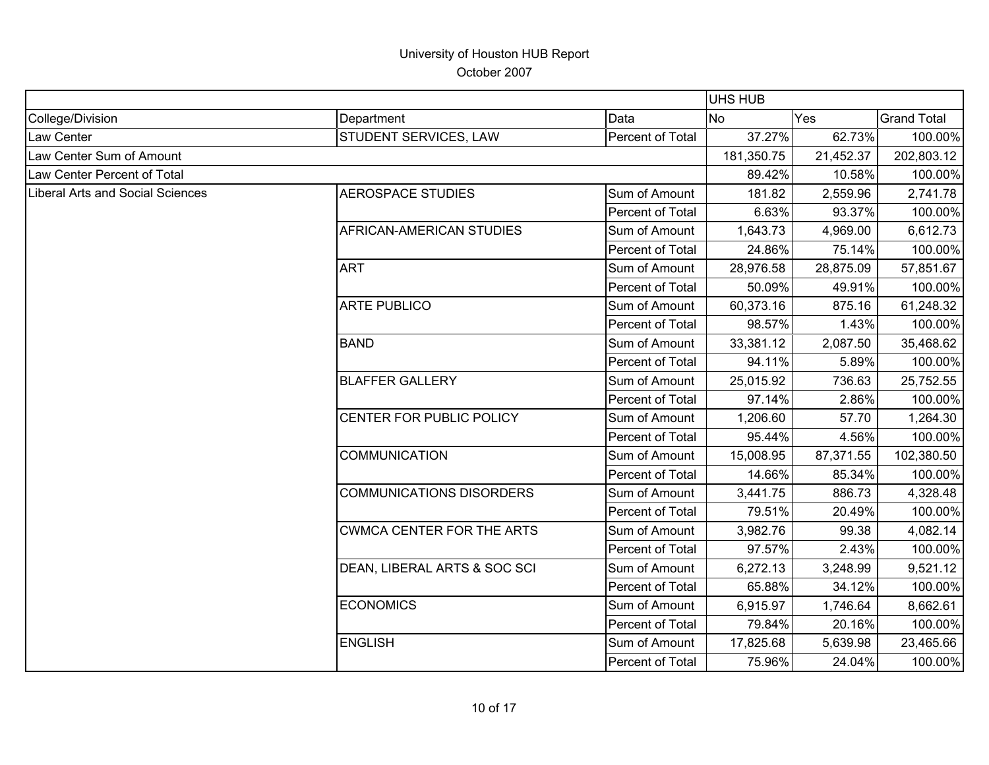|                                         |                                  | UHS HUB          |            |           |                    |
|-----------------------------------------|----------------------------------|------------------|------------|-----------|--------------------|
| College/Division                        | Department                       | Data             | <b>No</b>  | Yes       | <b>Grand Total</b> |
| Law Center                              | STUDENT SERVICES, LAW            | Percent of Total | 37.27%     | 62.73%    | 100.00%            |
| Law Center Sum of Amount                |                                  |                  | 181,350.75 | 21,452.37 | 202,803.12         |
| Law Center Percent of Total             |                                  |                  | 89.42%     | 10.58%    | 100.00%            |
| <b>Liberal Arts and Social Sciences</b> | <b>AEROSPACE STUDIES</b>         | Sum of Amount    | 181.82     | 2,559.96  | 2,741.78           |
|                                         |                                  | Percent of Total | 6.63%      | 93.37%    | 100.00%            |
|                                         | AFRICAN-AMERICAN STUDIES         | Sum of Amount    | 1,643.73   | 4,969.00  | 6,612.73           |
|                                         |                                  | Percent of Total | 24.86%     | 75.14%    | 100.00%            |
|                                         | <b>ART</b>                       | Sum of Amount    | 28,976.58  | 28,875.09 | 57,851.67          |
|                                         |                                  | Percent of Total | 50.09%     | 49.91%    | 100.00%            |
|                                         | ARTE PUBLICO                     | Sum of Amount    | 60,373.16  | 875.16    | 61,248.32          |
|                                         |                                  | Percent of Total | 98.57%     | 1.43%     | 100.00%            |
|                                         | <b>BAND</b>                      | Sum of Amount    | 33,381.12  | 2,087.50  | 35,468.62          |
|                                         |                                  | Percent of Total | 94.11%     | 5.89%     | 100.00%            |
|                                         | <b>BLAFFER GALLERY</b>           | Sum of Amount    | 25,015.92  | 736.63    | 25,752.55          |
|                                         |                                  | Percent of Total | 97.14%     | 2.86%     | 100.00%            |
|                                         | CENTER FOR PUBLIC POLICY         | Sum of Amount    | 1,206.60   | 57.70     | 1,264.30           |
|                                         |                                  | Percent of Total | 95.44%     | 4.56%     | 100.00%            |
|                                         | <b>COMMUNICATION</b>             | Sum of Amount    | 15,008.95  | 87,371.55 | 102,380.50         |
|                                         |                                  | Percent of Total | 14.66%     | 85.34%    | 100.00%            |
|                                         | <b>COMMUNICATIONS DISORDERS</b>  | Sum of Amount    | 3,441.75   | 886.73    | 4,328.48           |
|                                         |                                  | Percent of Total | 79.51%     | 20.49%    | 100.00%            |
|                                         | <b>CWMCA CENTER FOR THE ARTS</b> | Sum of Amount    | 3,982.76   | 99.38     | 4,082.14           |
|                                         |                                  | Percent of Total | 97.57%     | 2.43%     | 100.00%            |
|                                         | DEAN, LIBERAL ARTS & SOC SCI     | Sum of Amount    | 6,272.13   | 3,248.99  | 9,521.12           |
|                                         |                                  | Percent of Total | 65.88%     | 34.12%    | 100.00%            |
|                                         | <b>ECONOMICS</b>                 | Sum of Amount    | 6,915.97   | 1,746.64  | 8,662.61           |
|                                         |                                  | Percent of Total | 79.84%     | 20.16%    | 100.00%            |
|                                         | <b>ENGLISH</b>                   | Sum of Amount    | 17,825.68  | 5,639.98  | 23,465.66          |
|                                         |                                  | Percent of Total | 75.96%     | 24.04%    | 100.00%            |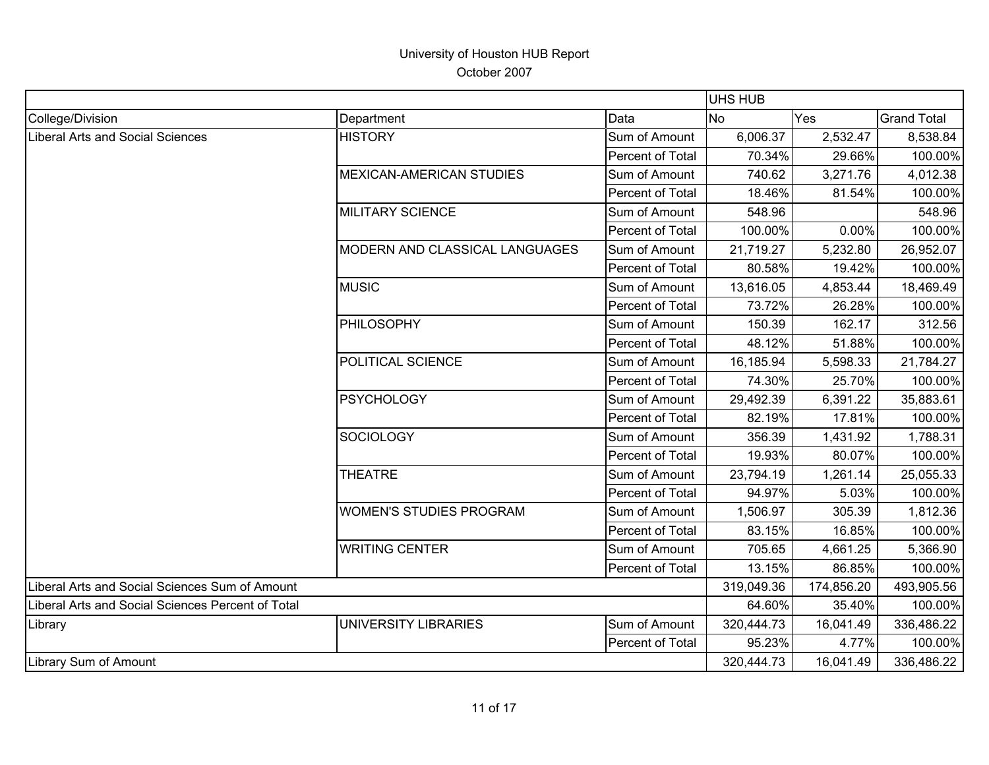|                                                   |                                 |                  | <b>UHS HUB</b> |            |                    |
|---------------------------------------------------|---------------------------------|------------------|----------------|------------|--------------------|
| College/Division                                  | Department                      | Data             | N <sub>o</sub> | Yes        | <b>Grand Total</b> |
| Liberal Arts and Social Sciences                  | <b>HISTORY</b>                  | Sum of Amount    | 6,006.37       | 2,532.47   | 8,538.84           |
|                                                   |                                 | Percent of Total | 70.34%         | 29.66%     | 100.00%            |
|                                                   | <b>MEXICAN-AMERICAN STUDIES</b> | Sum of Amount    | 740.62         | 3,271.76   | 4,012.38           |
|                                                   |                                 | Percent of Total | 18.46%         | 81.54%     | 100.00%            |
|                                                   | <b>MILITARY SCIENCE</b>         | Sum of Amount    | 548.96         |            | 548.96             |
|                                                   |                                 | Percent of Total | 100.00%        | 0.00%      | 100.00%            |
|                                                   | MODERN AND CLASSICAL LANGUAGES  | Sum of Amount    | 21,719.27      | 5,232.80   | 26,952.07          |
|                                                   |                                 | Percent of Total | 80.58%         | 19.42%     | 100.00%            |
|                                                   | <b>MUSIC</b>                    | Sum of Amount    | 13,616.05      | 4,853.44   | 18,469.49          |
|                                                   |                                 | Percent of Total | 73.72%         | 26.28%     | 100.00%            |
|                                                   | PHILOSOPHY                      | Sum of Amount    | 150.39         | 162.17     | 312.56             |
|                                                   |                                 | Percent of Total | 48.12%         | 51.88%     | 100.00%            |
|                                                   | POLITICAL SCIENCE               | Sum of Amount    | 16,185.94      | 5,598.33   | 21,784.27          |
|                                                   |                                 | Percent of Total | 74.30%         | 25.70%     | 100.00%            |
|                                                   | <b>PSYCHOLOGY</b>               | Sum of Amount    | 29,492.39      | 6,391.22   | 35,883.61          |
|                                                   |                                 | Percent of Total | 82.19%         | 17.81%     | 100.00%            |
|                                                   | SOCIOLOGY                       | Sum of Amount    | 356.39         | 1,431.92   | 1,788.31           |
|                                                   |                                 | Percent of Total | 19.93%         | 80.07%     | 100.00%            |
|                                                   | <b>THEATRE</b>                  | Sum of Amount    | 23,794.19      | 1,261.14   | 25,055.33          |
|                                                   |                                 | Percent of Total | 94.97%         | 5.03%      | 100.00%            |
|                                                   | <b>WOMEN'S STUDIES PROGRAM</b>  | Sum of Amount    | 1,506.97       | 305.39     | 1,812.36           |
|                                                   |                                 | Percent of Total | 83.15%         | 16.85%     | 100.00%            |
|                                                   | <b>WRITING CENTER</b>           | Sum of Amount    | 705.65         | 4,661.25   | 5,366.90           |
|                                                   |                                 | Percent of Total | 13.15%         | 86.85%     | 100.00%            |
| Liberal Arts and Social Sciences Sum of Amount    |                                 |                  | 319,049.36     | 174,856.20 | 493,905.56         |
| Liberal Arts and Social Sciences Percent of Total |                                 |                  | 64.60%         | 35.40%     | 100.00%            |
| Library                                           | UNIVERSITY LIBRARIES            | Sum of Amount    | 320,444.73     | 16,041.49  | 336,486.22         |
|                                                   |                                 | Percent of Total | 95.23%         | 4.77%      | 100.00%            |
| <b>Library Sum of Amount</b>                      |                                 |                  | 320,444.73     | 16,041.49  | 336,486.22         |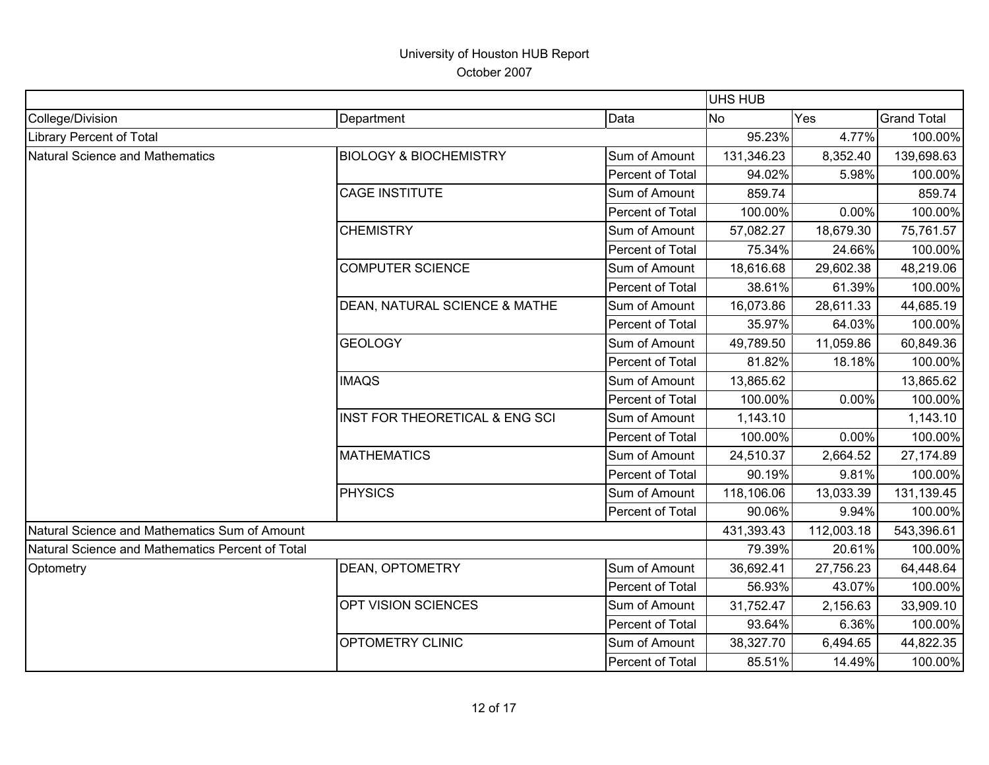|                                                  |                                   |                  | <b>UHS HUB</b> |            |                    |
|--------------------------------------------------|-----------------------------------|------------------|----------------|------------|--------------------|
| College/Division                                 | Department                        | Data             | <b>No</b>      | Yes        | <b>Grand Total</b> |
| <b>Library Percent of Total</b>                  |                                   |                  | 95.23%         | 4.77%      | 100.00%            |
| Natural Science and Mathematics                  | <b>BIOLOGY &amp; BIOCHEMISTRY</b> | Sum of Amount    | 131,346.23     | 8,352.40   | 139,698.63         |
|                                                  |                                   | Percent of Total | 94.02%         | 5.98%      | 100.00%            |
|                                                  | <b>CAGE INSTITUTE</b>             | Sum of Amount    | 859.74         |            | 859.74             |
|                                                  |                                   | Percent of Total | 100.00%        | 0.00%      | 100.00%            |
|                                                  | <b>CHEMISTRY</b>                  | Sum of Amount    | 57,082.27      | 18,679.30  | 75,761.57          |
|                                                  |                                   | Percent of Total | 75.34%         | 24.66%     | 100.00%            |
|                                                  | <b>COMPUTER SCIENCE</b>           | Sum of Amount    | 18,616.68      | 29,602.38  | 48,219.06          |
|                                                  |                                   | Percent of Total | 38.61%         | 61.39%     | 100.00%            |
|                                                  | DEAN, NATURAL SCIENCE & MATHE     | Sum of Amount    | 16,073.86      | 28,611.33  | 44,685.19          |
|                                                  |                                   | Percent of Total | 35.97%         | 64.03%     | 100.00%            |
|                                                  | <b>GEOLOGY</b>                    | Sum of Amount    | 49,789.50      | 11,059.86  | 60,849.36          |
|                                                  |                                   | Percent of Total | 81.82%         | 18.18%     | 100.00%            |
|                                                  | <b>IMAQS</b>                      | Sum of Amount    | 13,865.62      |            | 13,865.62          |
|                                                  |                                   | Percent of Total | 100.00%        | 0.00%      | 100.00%            |
|                                                  | INST FOR THEORETICAL & ENG SCI    | Sum of Amount    | 1,143.10       |            | 1,143.10           |
|                                                  |                                   | Percent of Total | 100.00%        | 0.00%      | 100.00%            |
|                                                  | <b>MATHEMATICS</b>                | Sum of Amount    | 24,510.37      | 2,664.52   | 27,174.89          |
|                                                  |                                   | Percent of Total | 90.19%         | 9.81%      | 100.00%            |
|                                                  | <b>PHYSICS</b>                    | Sum of Amount    | 118,106.06     | 13,033.39  | 131,139.45         |
|                                                  |                                   | Percent of Total | 90.06%         | 9.94%      | 100.00%            |
| Natural Science and Mathematics Sum of Amount    |                                   |                  | 431,393.43     | 112,003.18 | 543,396.61         |
| Natural Science and Mathematics Percent of Total |                                   |                  | 79.39%         | 20.61%     | 100.00%            |
| Optometry                                        | <b>DEAN, OPTOMETRY</b>            | Sum of Amount    | 36,692.41      | 27,756.23  | 64,448.64          |
|                                                  |                                   | Percent of Total | 56.93%         | 43.07%     | 100.00%            |
|                                                  | OPT VISION SCIENCES               | Sum of Amount    | 31,752.47      | 2,156.63   | 33,909.10          |
|                                                  |                                   | Percent of Total | 93.64%         | 6.36%      | 100.00%            |
|                                                  | OPTOMETRY CLINIC                  | Sum of Amount    | 38,327.70      | 6,494.65   | 44,822.35          |
|                                                  |                                   | Percent of Total | 85.51%         | 14.49%     | 100.00%            |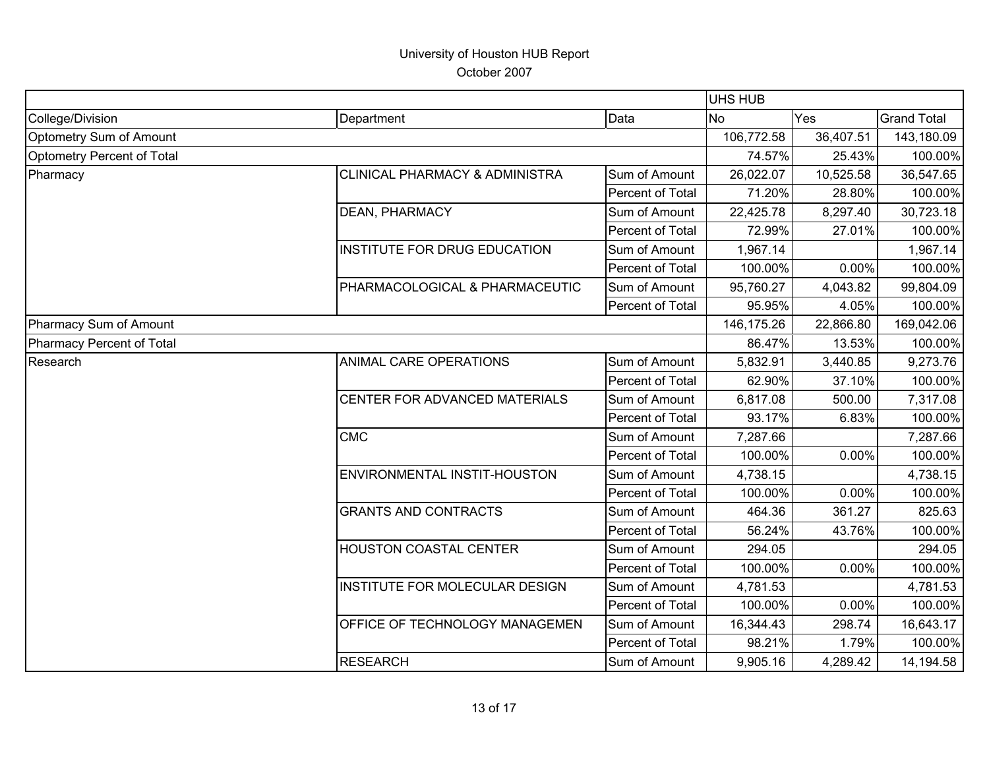| College/Division<br>Data<br>Department<br>Optometry Sum of Amount<br>Optometry Percent of Total<br><b>CLINICAL PHARMACY &amp; ADMINISTRA</b><br>Sum of Amount<br>Pharmacy<br>Percent of Total | <b>No</b><br>106,772.58<br>74.57%<br>26,022.07<br>71.20%<br>22,425.78 | Yes<br>36,407.51<br>25.43%<br>10,525.58<br>28.80% | <b>Grand Total</b><br>143,180.09<br>100.00%<br>36,547.65 |
|-----------------------------------------------------------------------------------------------------------------------------------------------------------------------------------------------|-----------------------------------------------------------------------|---------------------------------------------------|----------------------------------------------------------|
|                                                                                                                                                                                               |                                                                       |                                                   |                                                          |
|                                                                                                                                                                                               |                                                                       |                                                   |                                                          |
|                                                                                                                                                                                               |                                                                       |                                                   |                                                          |
|                                                                                                                                                                                               |                                                                       |                                                   |                                                          |
|                                                                                                                                                                                               |                                                                       |                                                   | 100.00%                                                  |
| <b>DEAN, PHARMACY</b><br>Sum of Amount                                                                                                                                                        |                                                                       | 8,297.40                                          | 30,723.18                                                |
| Percent of Total                                                                                                                                                                              | 72.99%                                                                | 27.01%                                            | 100.00%                                                  |
| <b>INSTITUTE FOR DRUG EDUCATION</b><br>Sum of Amount                                                                                                                                          | 1,967.14                                                              |                                                   | 1,967.14                                                 |
| Percent of Total                                                                                                                                                                              | 100.00%                                                               | 0.00%                                             | 100.00%                                                  |
| PHARMACOLOGICAL & PHARMACEUTIC<br>Sum of Amount                                                                                                                                               | 95,760.27                                                             | 4,043.82                                          | 99,804.09                                                |
| Percent of Total                                                                                                                                                                              | 95.95%                                                                | 4.05%                                             | 100.00%                                                  |
| Pharmacy Sum of Amount                                                                                                                                                                        | 146,175.26                                                            | 22,866.80                                         | 169,042.06                                               |
| <b>Pharmacy Percent of Total</b>                                                                                                                                                              | 86.47%                                                                | 13.53%                                            | 100.00%                                                  |
| Research<br>ANIMAL CARE OPERATIONS<br>Sum of Amount                                                                                                                                           | 5,832.91                                                              | 3,440.85                                          | 9,273.76                                                 |
| Percent of Total                                                                                                                                                                              | 62.90%                                                                | 37.10%                                            | 100.00%                                                  |
| CENTER FOR ADVANCED MATERIALS<br>Sum of Amount                                                                                                                                                | 6,817.08                                                              | 500.00                                            | 7,317.08                                                 |
| Percent of Total                                                                                                                                                                              | 93.17%                                                                | 6.83%                                             | 100.00%                                                  |
| <b>CMC</b><br>Sum of Amount                                                                                                                                                                   | 7,287.66                                                              |                                                   | 7,287.66                                                 |
| Percent of Total                                                                                                                                                                              | 100.00%                                                               | 0.00%                                             | 100.00%                                                  |
| <b>ENVIRONMENTAL INSTIT-HOUSTON</b><br>Sum of Amount                                                                                                                                          | 4,738.15                                                              |                                                   | 4,738.15                                                 |
| Percent of Total                                                                                                                                                                              | 100.00%                                                               | 0.00%                                             | 100.00%                                                  |
| <b>GRANTS AND CONTRACTS</b><br>Sum of Amount                                                                                                                                                  | 464.36                                                                | 361.27                                            | 825.63                                                   |
| Percent of Total                                                                                                                                                                              | 56.24%                                                                | 43.76%                                            | 100.00%                                                  |
| <b>HOUSTON COASTAL CENTER</b><br>Sum of Amount                                                                                                                                                | 294.05                                                                |                                                   | 294.05                                                   |
| Percent of Total                                                                                                                                                                              | 100.00%                                                               | 0.00%                                             | 100.00%                                                  |
| INSTITUTE FOR MOLECULAR DESIGN<br>Sum of Amount                                                                                                                                               | 4,781.53                                                              |                                                   | 4,781.53                                                 |
| Percent of Total                                                                                                                                                                              | 100.00%                                                               | 0.00%                                             | 100.00%                                                  |
| <b>OFFICE OF TECHNOLOGY MANAGEMEN</b><br>Sum of Amount                                                                                                                                        | 16,344.43                                                             | 298.74                                            | 16,643.17                                                |
| Percent of Total                                                                                                                                                                              | 98.21%                                                                | 1.79%                                             | 100.00%                                                  |
| <b>RESEARCH</b><br>Sum of Amount                                                                                                                                                              | 9,905.16                                                              | 4,289.42                                          | 14,194.58                                                |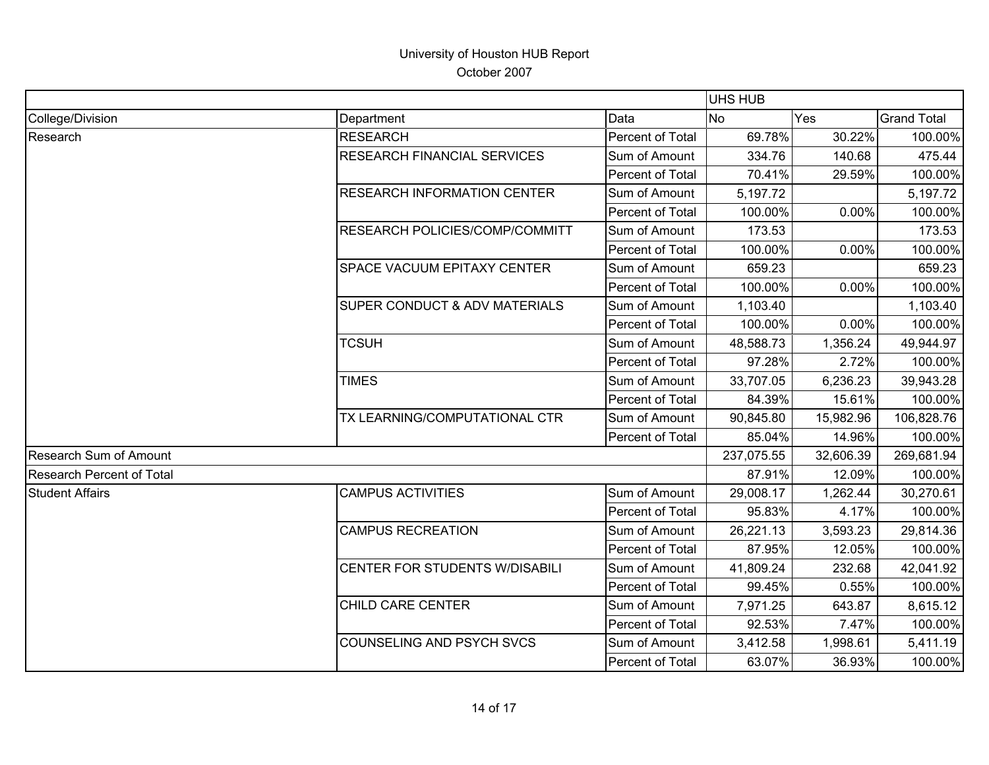|                           |                                          |                  | UHS HUB    |           |                    |
|---------------------------|------------------------------------------|------------------|------------|-----------|--------------------|
| College/Division          | Department                               | Data             | <b>No</b>  | Yes       | <b>Grand Total</b> |
| Research                  | <b>RESEARCH</b>                          | Percent of Total | 69.78%     | 30.22%    | 100.00%            |
|                           | RESEARCH FINANCIAL SERVICES              | Sum of Amount    | 334.76     | 140.68    | 475.44             |
|                           |                                          | Percent of Total | 70.41%     | 29.59%    | 100.00%            |
|                           | <b>RESEARCH INFORMATION CENTER</b>       | Sum of Amount    | 5,197.72   |           | 5,197.72           |
|                           |                                          | Percent of Total | 100.00%    | 0.00%     | 100.00%            |
|                           | <b>RESEARCH POLICIES/COMP/COMMITT</b>    | Sum of Amount    | 173.53     |           | 173.53             |
|                           |                                          | Percent of Total | 100.00%    | 0.00%     | 100.00%            |
|                           | <b>SPACE VACUUM EPITAXY CENTER</b>       | Sum of Amount    | 659.23     |           | 659.23             |
|                           |                                          | Percent of Total | 100.00%    | 0.00%     | 100.00%            |
|                           | <b>SUPER CONDUCT &amp; ADV MATERIALS</b> | Sum of Amount    | 1,103.40   |           | 1,103.40           |
|                           |                                          | Percent of Total | 100.00%    | 0.00%     | 100.00%            |
|                           | <b>TCSUH</b>                             | Sum of Amount    | 48,588.73  | 1,356.24  | 49,944.97          |
|                           |                                          | Percent of Total | 97.28%     | 2.72%     | 100.00%            |
|                           | <b>TIMES</b>                             | Sum of Amount    | 33,707.05  | 6,236.23  | 39,943.28          |
|                           |                                          | Percent of Total | 84.39%     | 15.61%    | 100.00%            |
|                           | TX LEARNING/COMPUTATIONAL CTR            | Sum of Amount    | 90,845.80  | 15,982.96 | 106,828.76         |
|                           |                                          | Percent of Total | 85.04%     | 14.96%    | 100.00%            |
| Research Sum of Amount    |                                          |                  | 237,075.55 | 32,606.39 | 269,681.94         |
| Research Percent of Total |                                          |                  | 87.91%     | 12.09%    | 100.00%            |
| <b>Student Affairs</b>    | <b>CAMPUS ACTIVITIES</b>                 | Sum of Amount    | 29,008.17  | 1,262.44  | 30,270.61          |
|                           |                                          | Percent of Total | 95.83%     | 4.17%     | 100.00%            |
|                           | <b>CAMPUS RECREATION</b>                 | Sum of Amount    | 26,221.13  | 3,593.23  | 29,814.36          |
|                           |                                          | Percent of Total | 87.95%     | 12.05%    | 100.00%            |
|                           | CENTER FOR STUDENTS W/DISABILI           | Sum of Amount    | 41,809.24  | 232.68    | 42,041.92          |
|                           |                                          | Percent of Total | 99.45%     | 0.55%     | 100.00%            |
|                           | <b>CHILD CARE CENTER</b>                 | Sum of Amount    | 7,971.25   | 643.87    | 8,615.12           |
|                           |                                          | Percent of Total | 92.53%     | 7.47%     | 100.00%            |
|                           | COUNSELING AND PSYCH SVCS                | Sum of Amount    | 3,412.58   | 1,998.61  | 5,411.19           |
|                           |                                          | Percent of Total | 63.07%     | 36.93%    | 100.00%            |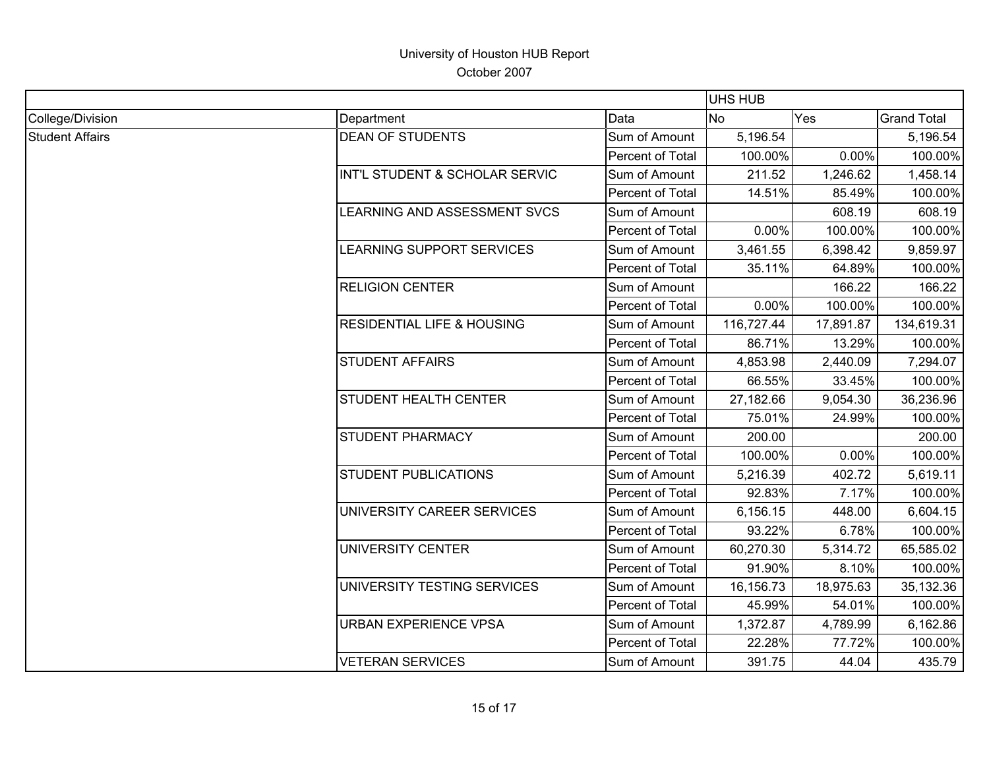|                        |                                       | <b>UHS HUB</b>   |            |           |                    |
|------------------------|---------------------------------------|------------------|------------|-----------|--------------------|
| College/Division       | Department                            | Data             | <b>No</b>  | Yes       | <b>Grand Total</b> |
| <b>Student Affairs</b> | <b>DEAN OF STUDENTS</b>               | Sum of Amount    | 5,196.54   |           | 5,196.54           |
|                        |                                       | Percent of Total | 100.00%    | 0.00%     | 100.00%            |
|                        | INT'L STUDENT & SCHOLAR SERVIC        | Sum of Amount    | 211.52     | 1,246.62  | 1,458.14           |
|                        |                                       | Percent of Total | 14.51%     | 85.49%    | 100.00%            |
|                        | LEARNING AND ASSESSMENT SVCS          | Sum of Amount    |            | 608.19    | 608.19             |
|                        |                                       | Percent of Total | 0.00%      | 100.00%   | 100.00%            |
|                        | LEARNING SUPPORT SERVICES             | Sum of Amount    | 3,461.55   | 6,398.42  | 9,859.97           |
|                        |                                       | Percent of Total | 35.11%     | 64.89%    | 100.00%            |
|                        | <b>RELIGION CENTER</b>                | Sum of Amount    |            | 166.22    | 166.22             |
|                        |                                       | Percent of Total | 0.00%      | 100.00%   | 100.00%            |
|                        | <b>RESIDENTIAL LIFE &amp; HOUSING</b> | Sum of Amount    | 116,727.44 | 17,891.87 | 134,619.31         |
|                        |                                       | Percent of Total | 86.71%     | 13.29%    | 100.00%            |
|                        | <b>STUDENT AFFAIRS</b>                | Sum of Amount    | 4,853.98   | 2,440.09  | 7,294.07           |
|                        |                                       | Percent of Total | 66.55%     | 33.45%    | 100.00%            |
|                        | STUDENT HEALTH CENTER                 | Sum of Amount    | 27,182.66  | 9,054.30  | 36,236.96          |
|                        |                                       | Percent of Total | 75.01%     | 24.99%    | 100.00%            |
|                        | <b>STUDENT PHARMACY</b>               | Sum of Amount    | 200.00     |           | 200.00             |
|                        |                                       | Percent of Total | 100.00%    | 0.00%     | 100.00%            |
|                        | <b>STUDENT PUBLICATIONS</b>           | Sum of Amount    | 5,216.39   | 402.72    | 5,619.11           |
|                        |                                       | Percent of Total | 92.83%     | 7.17%     | 100.00%            |
|                        | UNIVERSITY CAREER SERVICES            | Sum of Amount    | 6,156.15   | 448.00    | 6,604.15           |
|                        |                                       | Percent of Total | 93.22%     | 6.78%     | 100.00%            |
|                        | UNIVERSITY CENTER                     | Sum of Amount    | 60,270.30  | 5,314.72  | 65,585.02          |
|                        |                                       | Percent of Total | 91.90%     | 8.10%     | 100.00%            |
|                        | UNIVERSITY TESTING SERVICES           | Sum of Amount    | 16,156.73  | 18,975.63 | 35,132.36          |
|                        |                                       | Percent of Total | 45.99%     | 54.01%    | 100.00%            |
|                        | <b>URBAN EXPERIENCE VPSA</b>          | Sum of Amount    | 1,372.87   | 4,789.99  | 6,162.86           |
|                        |                                       | Percent of Total | 22.28%     | 77.72%    | 100.00%            |
|                        | <b>VETERAN SERVICES</b>               | Sum of Amount    | 391.75     | 44.04     | 435.79             |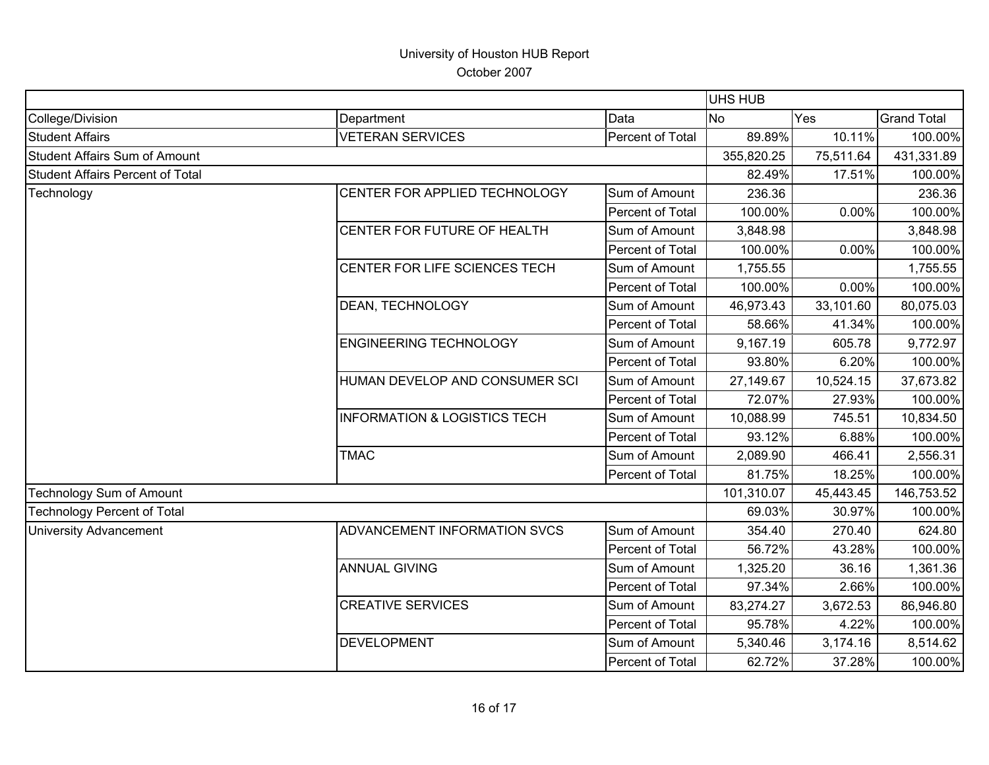|                                         |                                         |                  | <b>UHS HUB</b> |           |                    |
|-----------------------------------------|-----------------------------------------|------------------|----------------|-----------|--------------------|
| College/Division                        | Department                              | Data             | <b>No</b>      | Yes       | <b>Grand Total</b> |
| <b>Student Affairs</b>                  | <b>VETERAN SERVICES</b>                 | Percent of Total | 89.89%         | 10.11%    | 100.00%            |
| <b>Student Affairs Sum of Amount</b>    |                                         |                  | 355,820.25     | 75,511.64 | 431,331.89         |
| <b>Student Affairs Percent of Total</b> |                                         |                  | 82.49%         | 17.51%    | 100.00%            |
| Technology                              | CENTER FOR APPLIED TECHNOLOGY           | Sum of Amount    | 236.36         |           | 236.36             |
|                                         |                                         | Percent of Total | 100.00%        | 0.00%     | 100.00%            |
|                                         | CENTER FOR FUTURE OF HEALTH             | Sum of Amount    | 3,848.98       |           | 3,848.98           |
|                                         |                                         | Percent of Total | 100.00%        | 0.00%     | 100.00%            |
|                                         | CENTER FOR LIFE SCIENCES TECH           | Sum of Amount    | 1,755.55       |           | 1,755.55           |
|                                         |                                         | Percent of Total | 100.00%        | 0.00%     | 100.00%            |
|                                         | <b>DEAN, TECHNOLOGY</b>                 | Sum of Amount    | 46,973.43      | 33,101.60 | 80,075.03          |
|                                         |                                         | Percent of Total | 58.66%         | 41.34%    | 100.00%            |
|                                         | <b>ENGINEERING TECHNOLOGY</b>           | Sum of Amount    | 9,167.19       | 605.78    | 9,772.97           |
|                                         |                                         | Percent of Total | 93.80%         | 6.20%     | 100.00%            |
|                                         | HUMAN DEVELOP AND CONSUMER SCI          | Sum of Amount    | 27,149.67      | 10,524.15 | 37,673.82          |
|                                         |                                         | Percent of Total | 72.07%         | 27.93%    | 100.00%            |
|                                         | <b>INFORMATION &amp; LOGISTICS TECH</b> | Sum of Amount    | 10,088.99      | 745.51    | 10,834.50          |
|                                         |                                         | Percent of Total | 93.12%         | 6.88%     | 100.00%            |
|                                         | <b>TMAC</b>                             | Sum of Amount    | 2,089.90       | 466.41    | 2,556.31           |
|                                         |                                         | Percent of Total | 81.75%         | 18.25%    | 100.00%            |
| Technology Sum of Amount                |                                         |                  | 101,310.07     | 45,443.45 | 146,753.52         |
| <b>Technology Percent of Total</b>      |                                         |                  | 69.03%         | 30.97%    | 100.00%            |
| <b>University Advancement</b>           | ADVANCEMENT INFORMATION SVCS            | Sum of Amount    | 354.40         | 270.40    | 624.80             |
|                                         |                                         | Percent of Total | 56.72%         | 43.28%    | 100.00%            |
|                                         | <b>ANNUAL GIVING</b>                    | Sum of Amount    | 1,325.20       | 36.16     | 1,361.36           |
|                                         |                                         | Percent of Total | 97.34%         | 2.66%     | 100.00%            |
|                                         | <b>CREATIVE SERVICES</b>                | Sum of Amount    | 83,274.27      | 3,672.53  | 86,946.80          |
|                                         |                                         | Percent of Total | 95.78%         | 4.22%     | 100.00%            |
|                                         | <b>DEVELOPMENT</b>                      | Sum of Amount    | 5,340.46       | 3,174.16  | 8,514.62           |
|                                         |                                         | Percent of Total | 62.72%         | 37.28%    | 100.00%            |